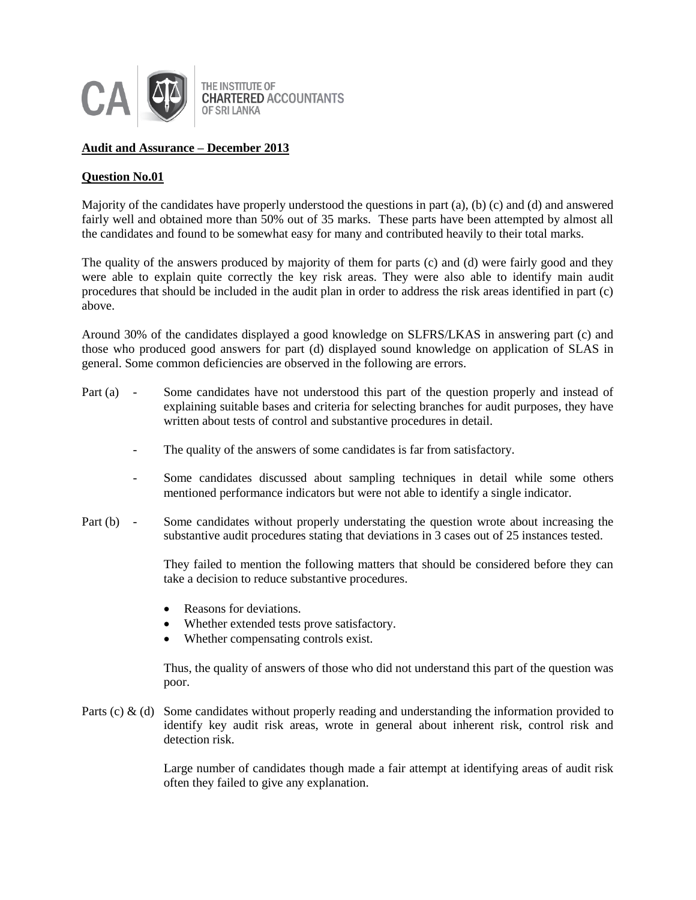

#### **Audit and Assurance – December 2013**

#### **Question No.01**

Majority of the candidates have properly understood the questions in part (a), (b) (c) and (d) and answered fairly well and obtained more than 50% out of 35 marks. These parts have been attempted by almost all the candidates and found to be somewhat easy for many and contributed heavily to their total marks.

The quality of the answers produced by majority of them for parts (c) and (d) were fairly good and they were able to explain quite correctly the key risk areas. They were also able to identify main audit procedures that should be included in the audit plan in order to address the risk areas identified in part (c) above.

Around 30% of the candidates displayed a good knowledge on SLFRS/LKAS in answering part (c) and those who produced good answers for part (d) displayed sound knowledge on application of SLAS in general. Some common deficiencies are observed in the following are errors.

- Part (a) Some candidates have not understood this part of the question properly and instead of explaining suitable bases and criteria for selecting branches for audit purposes, they have written about tests of control and substantive procedures in detail.
	- The quality of the answers of some candidates is far from satisfactory.
	- Some candidates discussed about sampling techniques in detail while some others mentioned performance indicators but were not able to identify a single indicator.
- Part (b) Some candidates without properly understating the question wrote about increasing the substantive audit procedures stating that deviations in 3 cases out of 25 instances tested.

They failed to mention the following matters that should be considered before they can take a decision to reduce substantive procedures.

- Reasons for deviations.
- Whether extended tests prove satisfactory.
- Whether compensating controls exist.

Thus, the quality of answers of those who did not understand this part of the question was poor.

Parts (c) & (d) Some candidates without properly reading and understanding the information provided to identify key audit risk areas, wrote in general about inherent risk, control risk and detection risk.

> Large number of candidates though made a fair attempt at identifying areas of audit risk often they failed to give any explanation.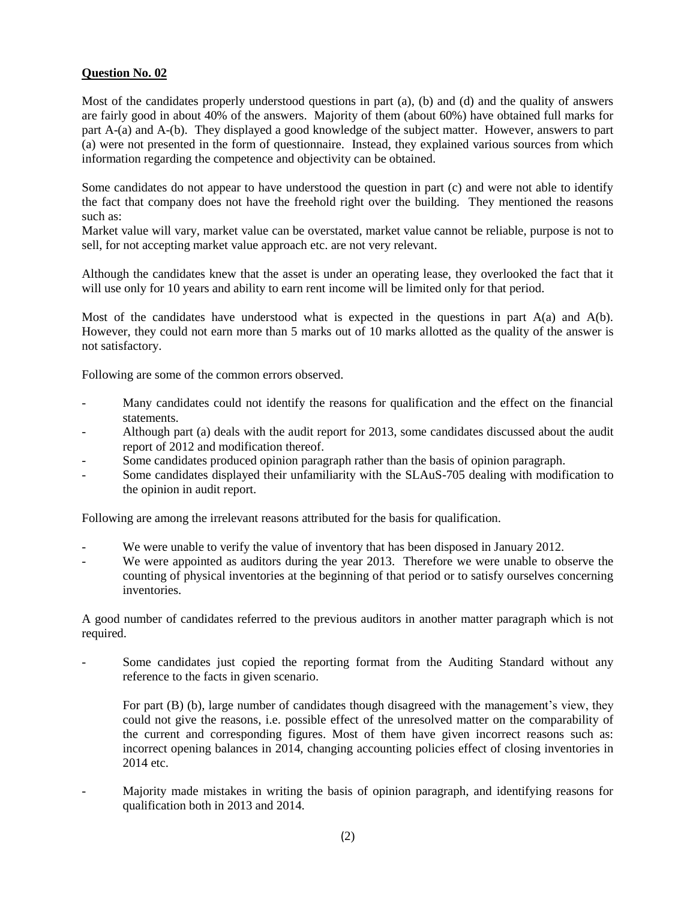Most of the candidates properly understood questions in part (a), (b) and (d) and the quality of answers are fairly good in about 40% of the answers. Majority of them (about 60%) have obtained full marks for part A-(a) and A-(b). They displayed a good knowledge of the subject matter. However, answers to part (a) were not presented in the form of questionnaire. Instead, they explained various sources from which information regarding the competence and objectivity can be obtained.

Some candidates do not appear to have understood the question in part (c) and were not able to identify the fact that company does not have the freehold right over the building. They mentioned the reasons such as:

Market value will vary, market value can be overstated, market value cannot be reliable, purpose is not to sell, for not accepting market value approach etc. are not very relevant.

Although the candidates knew that the asset is under an operating lease, they overlooked the fact that it will use only for 10 years and ability to earn rent income will be limited only for that period.

Most of the candidates have understood what is expected in the questions in part  $A(a)$  and  $A(b)$ . However, they could not earn more than 5 marks out of 10 marks allotted as the quality of the answer is not satisfactory.

Following are some of the common errors observed.

- Many candidates could not identify the reasons for qualification and the effect on the financial statements.
- Although part (a) deals with the audit report for 2013, some candidates discussed about the audit report of 2012 and modification thereof.
- Some candidates produced opinion paragraph rather than the basis of opinion paragraph.
- Some candidates displayed their unfamiliarity with the SLAuS-705 dealing with modification to the opinion in audit report.

Following are among the irrelevant reasons attributed for the basis for qualification.

- We were unable to verify the value of inventory that has been disposed in January 2012.
- We were appointed as auditors during the year 2013. Therefore we were unable to observe the counting of physical inventories at the beginning of that period or to satisfy ourselves concerning inventories.

A good number of candidates referred to the previous auditors in another matter paragraph which is not required.

Some candidates just copied the reporting format from the Auditing Standard without any reference to the facts in given scenario.

For part (B) (b), large number of candidates though disagreed with the management's view, they could not give the reasons, i.e. possible effect of the unresolved matter on the comparability of the current and corresponding figures. Most of them have given incorrect reasons such as: incorrect opening balances in 2014, changing accounting policies effect of closing inventories in 2014 etc.

- Majority made mistakes in writing the basis of opinion paragraph, and identifying reasons for qualification both in 2013 and 2014.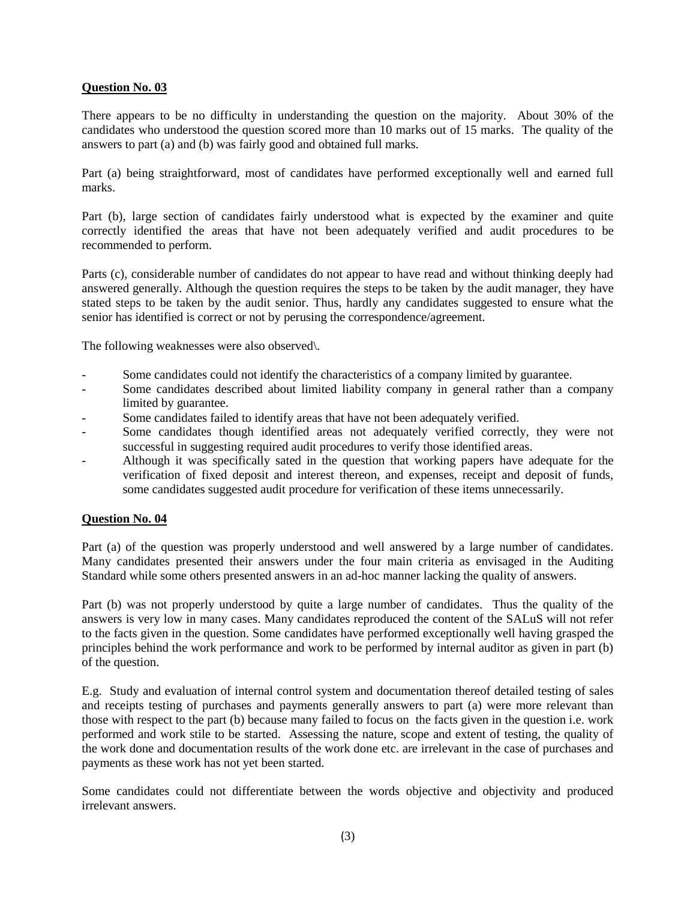There appears to be no difficulty in understanding the question on the majority. About 30% of the candidates who understood the question scored more than 10 marks out of 15 marks. The quality of the answers to part (a) and (b) was fairly good and obtained full marks.

Part (a) being straightforward, most of candidates have performed exceptionally well and earned full marks.

Part (b), large section of candidates fairly understood what is expected by the examiner and quite correctly identified the areas that have not been adequately verified and audit procedures to be recommended to perform.

Parts (c), considerable number of candidates do not appear to have read and without thinking deeply had answered generally. Although the question requires the steps to be taken by the audit manager, they have stated steps to be taken by the audit senior. Thus, hardly any candidates suggested to ensure what the senior has identified is correct or not by perusing the correspondence/agreement.

The following weaknesses were also observed\.

- Some candidates could not identify the characteristics of a company limited by guarantee.
- Some candidates described about limited liability company in general rather than a company limited by guarantee.
- Some candidates failed to identify areas that have not been adequately verified.
- Some candidates though identified areas not adequately verified correctly, they were not successful in suggesting required audit procedures to verify those identified areas.
- Although it was specifically sated in the question that working papers have adequate for the verification of fixed deposit and interest thereon, and expenses, receipt and deposit of funds, some candidates suggested audit procedure for verification of these items unnecessarily.

#### **Question No. 04**

Part (a) of the question was properly understood and well answered by a large number of candidates. Many candidates presented their answers under the four main criteria as envisaged in the Auditing Standard while some others presented answers in an ad-hoc manner lacking the quality of answers.

Part (b) was not properly understood by quite a large number of candidates. Thus the quality of the answers is very low in many cases. Many candidates reproduced the content of the SALuS will not refer to the facts given in the question. Some candidates have performed exceptionally well having grasped the principles behind the work performance and work to be performed by internal auditor as given in part (b) of the question.

E.g. Study and evaluation of internal control system and documentation thereof detailed testing of sales and receipts testing of purchases and payments generally answers to part (a) were more relevant than those with respect to the part (b) because many failed to focus on the facts given in the question i.e. work performed and work stile to be started. Assessing the nature, scope and extent of testing, the quality of the work done and documentation results of the work done etc. are irrelevant in the case of purchases and payments as these work has not yet been started.

Some candidates could not differentiate between the words objective and objectivity and produced irrelevant answers.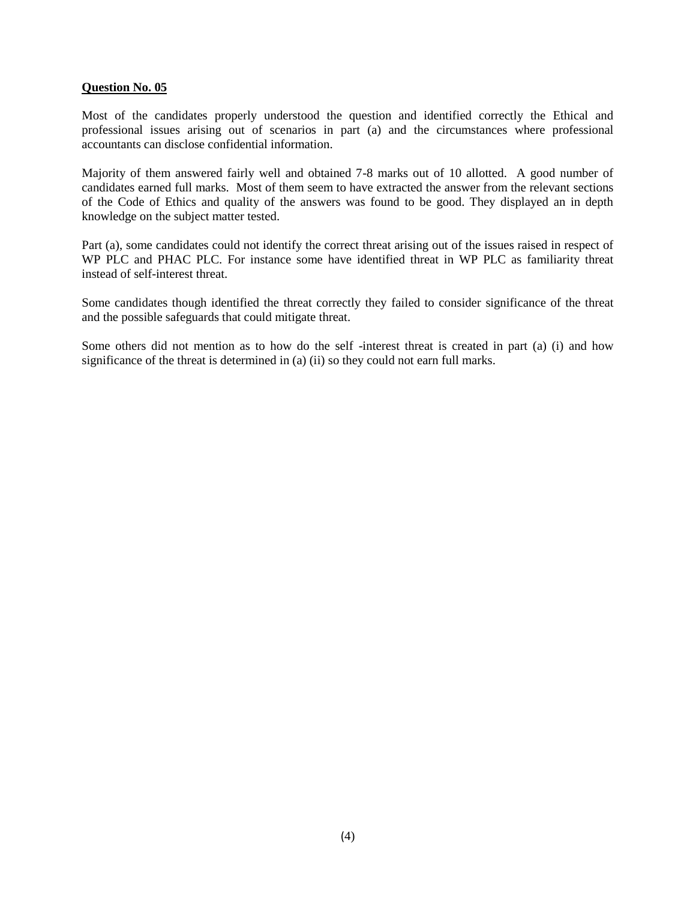Most of the candidates properly understood the question and identified correctly the Ethical and professional issues arising out of scenarios in part (a) and the circumstances where professional accountants can disclose confidential information.

Majority of them answered fairly well and obtained 7-8 marks out of 10 allotted. A good number of candidates earned full marks. Most of them seem to have extracted the answer from the relevant sections of the Code of Ethics and quality of the answers was found to be good. They displayed an in depth knowledge on the subject matter tested.

Part (a), some candidates could not identify the correct threat arising out of the issues raised in respect of WP PLC and PHAC PLC. For instance some have identified threat in WP PLC as familiarity threat instead of self-interest threat.

Some candidates though identified the threat correctly they failed to consider significance of the threat and the possible safeguards that could mitigate threat.

Some others did not mention as to how do the self -interest threat is created in part (a) (i) and how significance of the threat is determined in (a) (ii) so they could not earn full marks.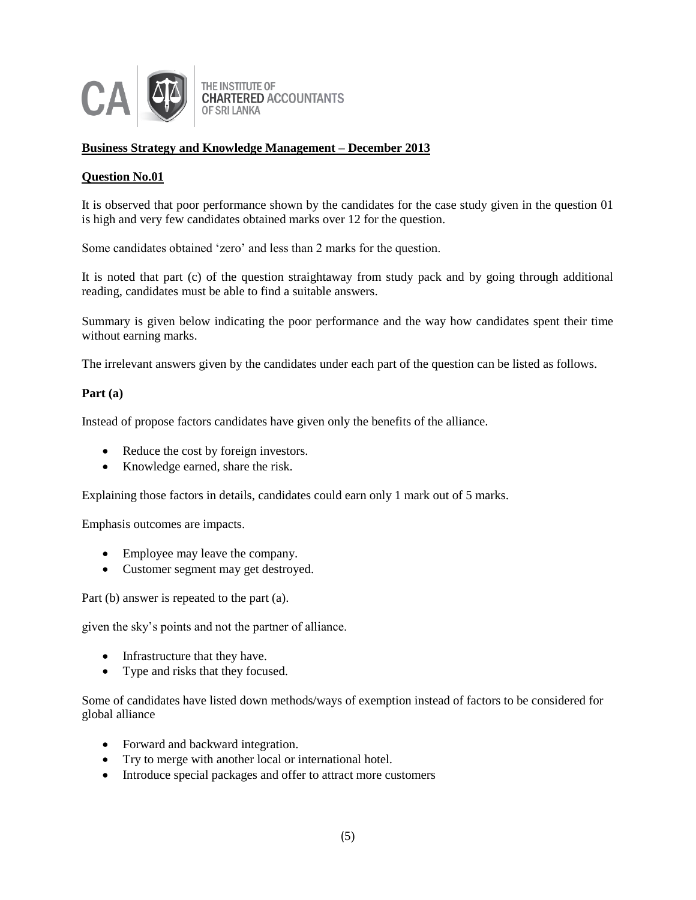

#### **Business Strategy and Knowledge Management – December 2013**

#### **Question No.01**

It is observed that poor performance shown by the candidates for the case study given in the question 01 is high and very few candidates obtained marks over 12 for the question.

Some candidates obtained 'zero' and less than 2 marks for the question.

It is noted that part (c) of the question straightaway from study pack and by going through additional reading, candidates must be able to find a suitable answers.

Summary is given below indicating the poor performance and the way how candidates spent their time without earning marks.

The irrelevant answers given by the candidates under each part of the question can be listed as follows.

#### **Part (a)**

Instead of propose factors candidates have given only the benefits of the alliance.

- Reduce the cost by foreign investors.
- Knowledge earned, share the risk.

Explaining those factors in details, candidates could earn only 1 mark out of 5 marks.

Emphasis outcomes are impacts.

- Employee may leave the company.
- Customer segment may get destroyed.

Part (b) answer is repeated to the part (a).

given the sky's points and not the partner of alliance.

- Infrastructure that they have.
- Type and risks that they focused.

Some of candidates have listed down methods/ways of exemption instead of factors to be considered for global alliance

- Forward and backward integration.
- Try to merge with another local or international hotel.
- Introduce special packages and offer to attract more customers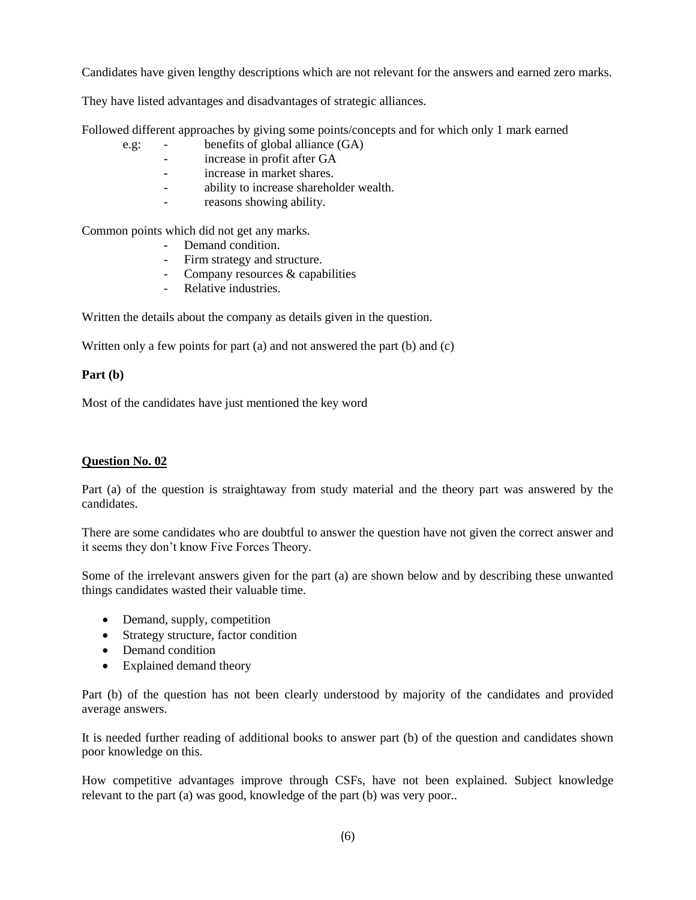Candidates have given lengthy descriptions which are not relevant for the answers and earned zero marks.

They have listed advantages and disadvantages of strategic alliances.

Followed different approaches by giving some points/concepts and for which only 1 mark earned

- e.g: benefits of global alliance (GA)
	- increase in profit after GA
	- increase in market shares.
	- ability to increase shareholder wealth.
	- reasons showing ability.

Common points which did not get any marks.

- Demand condition.
- Firm strategy and structure.
- Company resources & capabilities
- Relative industries.

Written the details about the company as details given in the question.

Written only a few points for part (a) and not answered the part (b) and (c)

#### **Part (b)**

Most of the candidates have just mentioned the key word

#### **Question No. 02**

Part (a) of the question is straightaway from study material and the theory part was answered by the candidates.

There are some candidates who are doubtful to answer the question have not given the correct answer and it seems they don't know Five Forces Theory.

Some of the irrelevant answers given for the part (a) are shown below and by describing these unwanted things candidates wasted their valuable time.

- Demand, supply, competition
- Strategy structure, factor condition
- Demand condition
- Explained demand theory

Part (b) of the question has not been clearly understood by majority of the candidates and provided average answers.

It is needed further reading of additional books to answer part (b) of the question and candidates shown poor knowledge on this.

How competitive advantages improve through CSFs, have not been explained. Subject knowledge relevant to the part (a) was good, knowledge of the part (b) was very poor..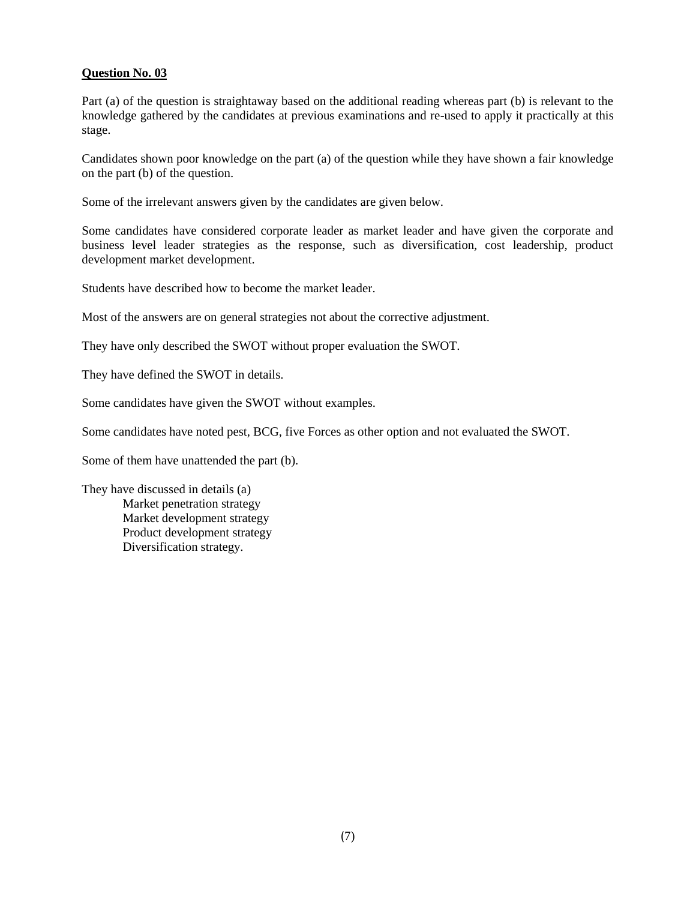Part (a) of the question is straightaway based on the additional reading whereas part (b) is relevant to the knowledge gathered by the candidates at previous examinations and re-used to apply it practically at this stage.

Candidates shown poor knowledge on the part (a) of the question while they have shown a fair knowledge on the part (b) of the question.

Some of the irrelevant answers given by the candidates are given below.

Some candidates have considered corporate leader as market leader and have given the corporate and business level leader strategies as the response, such as diversification, cost leadership, product development market development.

Students have described how to become the market leader.

Most of the answers are on general strategies not about the corrective adjustment.

They have only described the SWOT without proper evaluation the SWOT.

They have defined the SWOT in details.

Some candidates have given the SWOT without examples.

Some candidates have noted pest, BCG, five Forces as other option and not evaluated the SWOT.

Some of them have unattended the part (b).

They have discussed in details (a) Market penetration strategy Market development strategy Product development strategy Diversification strategy.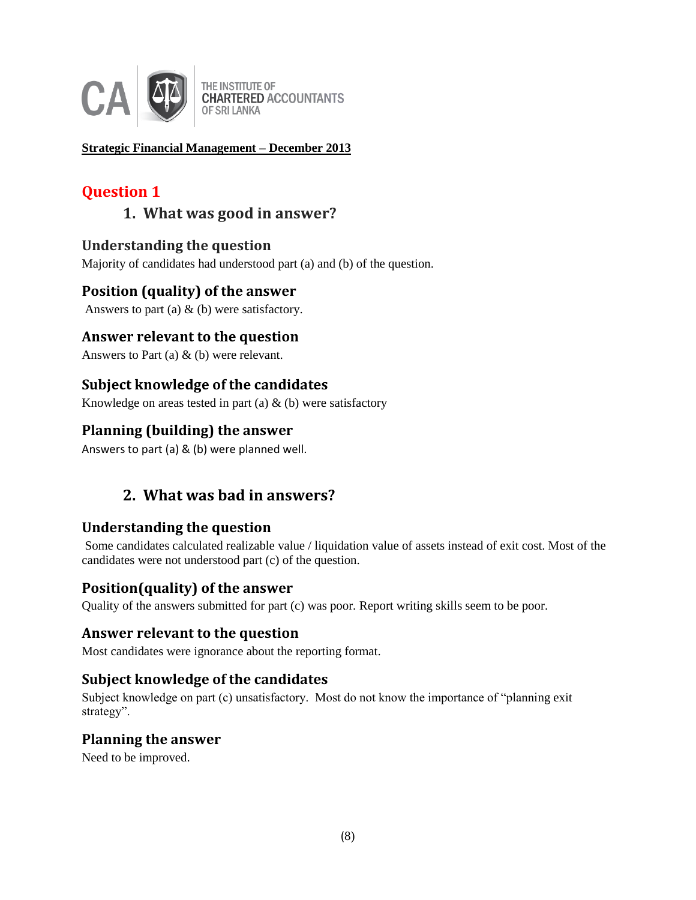

THE INSTITUTE OF **CHARTERED ACCOUNTANTS OF SRILANKA** 

### **Strategic Financial Management – December 2013**

# **Question 1**

# **1. What was good in answer?**

## **Understanding the question**

Majority of candidates had understood part (a) and (b) of the question.

## **Position (quality) of the answer**

Answers to part (a) & (b) were satisfactory.

#### **Answer relevant to the question**

Answers to Part (a) & (b) were relevant.

## **Subject knowledge of the candidates**

Knowledge on areas tested in part (a)  $\&$  (b) were satisfactory

## **Planning (building) the answer**

Answers to part (a) & (b) were planned well.

# **2. What was bad in answers?**

## **Understanding the question**

Some candidates calculated realizable value / liquidation value of assets instead of exit cost. Most of the candidates were not understood part (c) of the question.

## **Position(quality) of the answer**

Quality of the answers submitted for part (c) was poor. Report writing skills seem to be poor.

#### **Answer relevant to the question**

Most candidates were ignorance about the reporting format.

## **Subject knowledge of the candidates**

Subject knowledge on part (c) unsatisfactory. Most do not know the importance of "planning exit strategy".

#### **Planning the answer**

Need to be improved.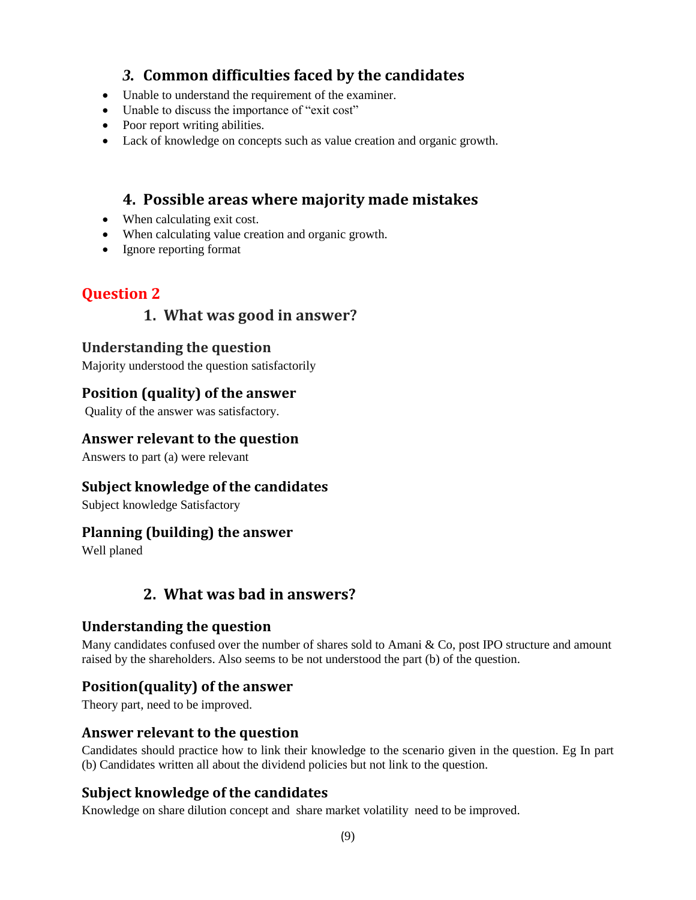# *3.* **Common difficulties faced by the candidates**

- Unable to understand the requirement of the examiner.
- Unable to discuss the importance of "exit cost"
- Poor report writing abilities.
- Lack of knowledge on concepts such as value creation and organic growth.

# **4. Possible areas where majority made mistakes**

- When calculating exit cost.
- When calculating value creation and organic growth.
- Ignore reporting format

## **Question 2**

## **1. What was good in answer?**

#### **Understanding the question**

Majority understood the question satisfactorily

#### **Position (quality) of the answer**

Quality of the answer was satisfactory.

#### **Answer relevant to the question**

Answers to part (a) were relevant

## **Subject knowledge of the candidates**

Subject knowledge Satisfactory

## **Planning (building) the answer**

Well planed

# **2. What was bad in answers?**

#### **Understanding the question**

Many candidates confused over the number of shares sold to Amani & Co, post IPO structure and amount raised by the shareholders. Also seems to be not understood the part (b) of the question.

## **Position(quality) of the answer**

Theory part, need to be improved.

#### **Answer relevant to the question**

Candidates should practice how to link their knowledge to the scenario given in the question. Eg In part (b) Candidates written all about the dividend policies but not link to the question.

## **Subject knowledge of the candidates**

Knowledge on share dilution concept and share market volatility need to be improved.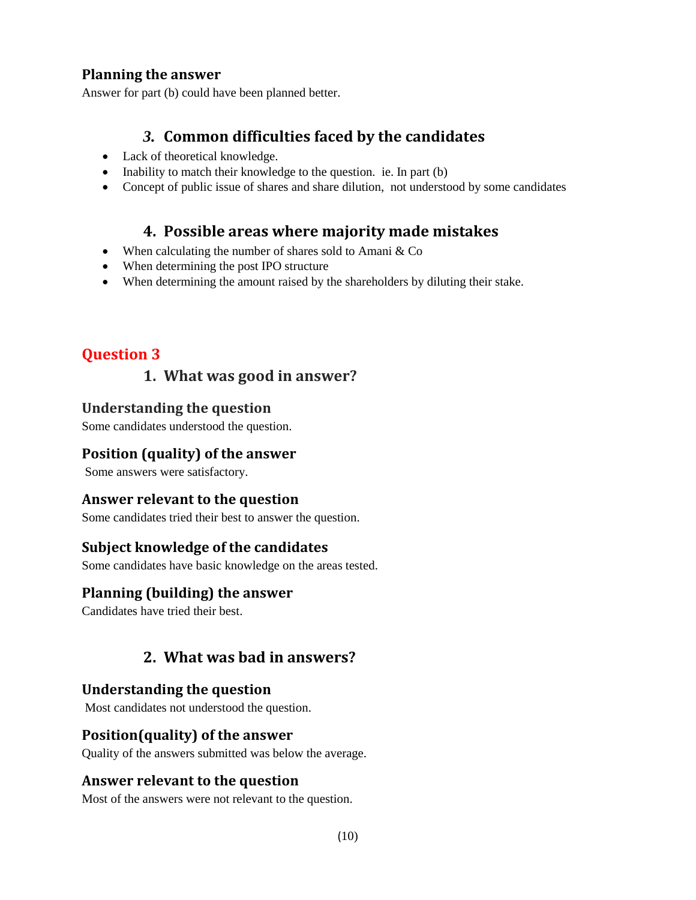## **Planning the answer**

Answer for part (b) could have been planned better.

## *3.* **Common difficulties faced by the candidates**

- Lack of theoretical knowledge.
- $\bullet$  Inability to match their knowledge to the question. ie. In part (b)
- Concept of public issue of shares and share dilution, not understood by some candidates

## **4. Possible areas where majority made mistakes**

- When calculating the number of shares sold to Amani & Co
- When determining the post IPO structure
- When determining the amount raised by the shareholders by diluting their stake.

# **Question 3**

## **1. What was good in answer?**

#### **Understanding the question**

Some candidates understood the question.

#### **Position (quality) of the answer**

Some answers were satisfactory.

## **Answer relevant to the question**

Some candidates tried their best to answer the question.

#### **Subject knowledge of the candidates**

Some candidates have basic knowledge on the areas tested.

#### **Planning (building) the answer**

Candidates have tried their best.

# **2. What was bad in answers?**

#### **Understanding the question**

Most candidates not understood the question.

#### **Position(quality) of the answer**

Quality of the answers submitted was below the average.

## **Answer relevant to the question**

Most of the answers were not relevant to the question.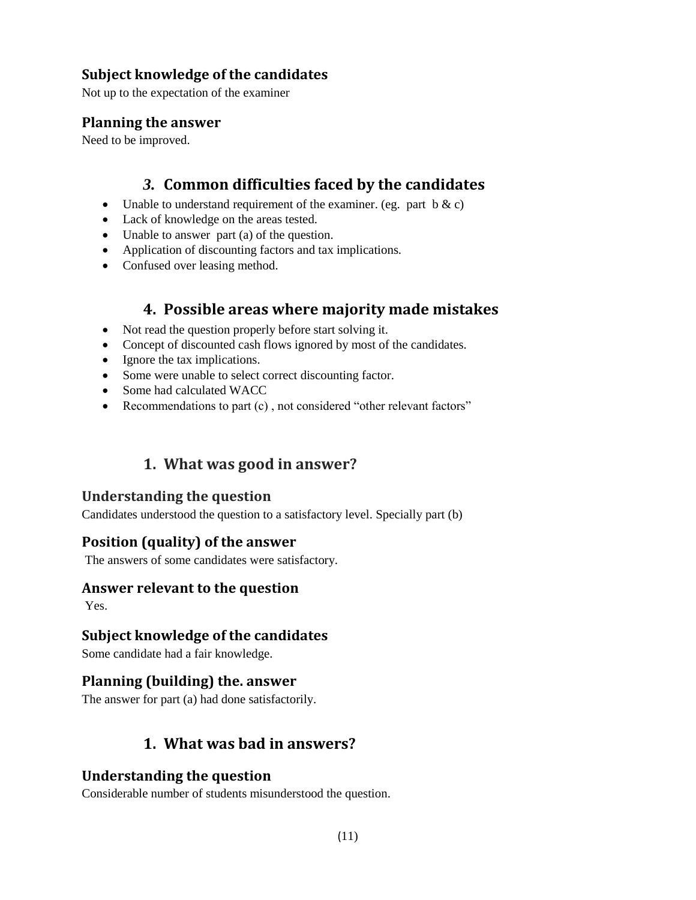## **Subject knowledge of the candidates**

Not up to the expectation of the examiner

### **Planning the answer**

Need to be improved.

# *3.* **Common difficulties faced by the candidates**

- Unable to understand requirement of the examiner. (eg. part  $b & c$ )
- Lack of knowledge on the areas tested.
- Unable to answer part (a) of the question.
- Application of discounting factors and tax implications.
- Confused over leasing method.

## **4. Possible areas where majority made mistakes**

- Not read the question properly before start solving it.
- Concept of discounted cash flows ignored by most of the candidates.
- Ignore the tax implications.
- Some were unable to select correct discounting factor.
- Some had calculated WACC
- Recommendations to part (c), not considered "other relevant factors"

# **1. What was good in answer?**

## **Understanding the question**

Candidates understood the question to a satisfactory level. Specially part (b)

## **Position (quality) of the answer**

The answers of some candidates were satisfactory.

#### **Answer relevant to the question**

Yes.

## **Subject knowledge of the candidates**

Some candidate had a fair knowledge.

## **Planning (building) the. answer**

The answer for part (a) had done satisfactorily.

## **1. What was bad in answers?**

## **Understanding the question**

Considerable number of students misunderstood the question.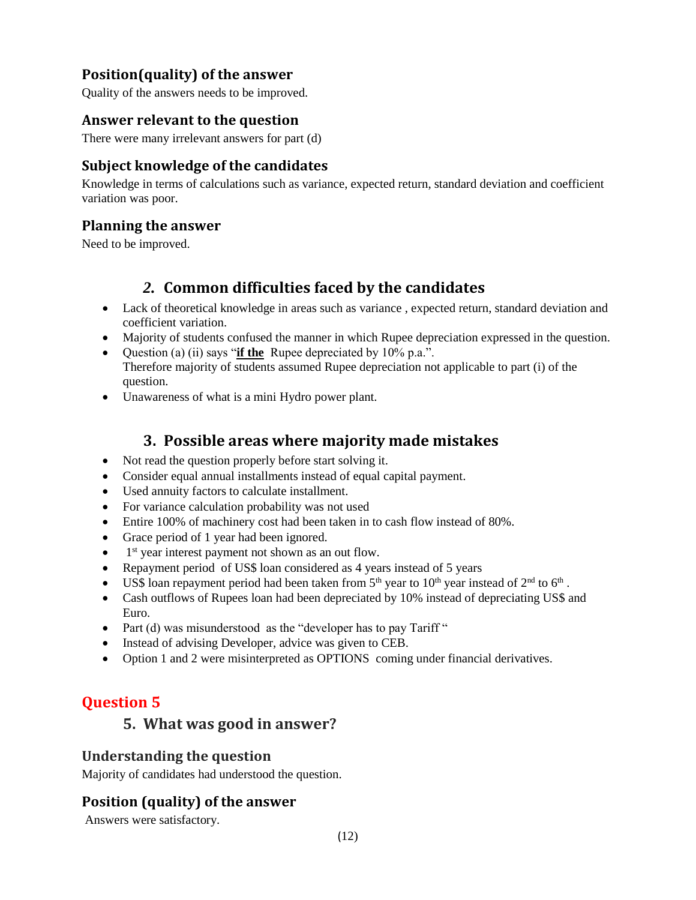## **Position(quality) of the answer**

Quality of the answers needs to be improved.

### **Answer relevant to the question**

There were many irrelevant answers for part (d)

## **Subject knowledge of the candidates**

Knowledge in terms of calculations such as variance, expected return, standard deviation and coefficient variation was poor.

## **Planning the answer**

Need to be improved.

## *2.* **Common difficulties faced by the candidates**

- Lack of theoretical knowledge in areas such as variance , expected return, standard deviation and coefficient variation.
- Majority of students confused the manner in which Rupee depreciation expressed in the question.
- Question (a) (ii) says "**if the** Rupee depreciated by 10% p.a.". Therefore majority of students assumed Rupee depreciation not applicable to part (i) of the question.
- Unawareness of what is a mini Hydro power plant.

## **3. Possible areas where majority made mistakes**

- Not read the question properly before start solving it.
- Consider equal annual installments instead of equal capital payment.
- Used annuity factors to calculate installment.
- For variance calculation probability was not used
- Entire 100% of machinery cost had been taken in to cash flow instead of 80%.
- Grace period of 1 year had been ignored.
- 1<sup>st</sup> year interest payment not shown as an out flow.
- Repayment period of US\$ loan considered as 4 years instead of 5 years
- US\$ loan repayment period had been taken from  $5<sup>th</sup>$  year to  $10<sup>th</sup>$  year instead of  $2<sup>nd</sup>$  to  $6<sup>th</sup>$ .
- Cash outflows of Rupees loan had been depreciated by 10% instead of depreciating US\$ and Euro.
- Part (d) was misunderstood as the "developer has to pay Tariff"
- Instead of advising Developer, advice was given to CEB.
- Option 1 and 2 were misinterpreted as OPTIONS coming under financial derivatives.

# **Question 5**

## **5. What was good in answer?**

#### **Understanding the question**

Majority of candidates had understood the question.

## **Position (quality) of the answer**

Answers were satisfactory.